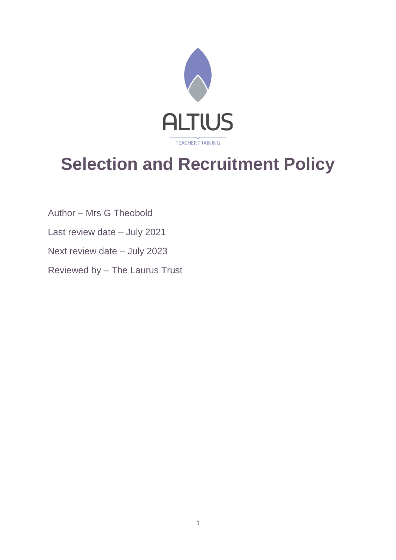

# **Selection and Recruitment Policy**

- Author Mrs G Theobold
- Last review date July 2021
- Next review date July 2023
- Reviewed by The Laurus Trust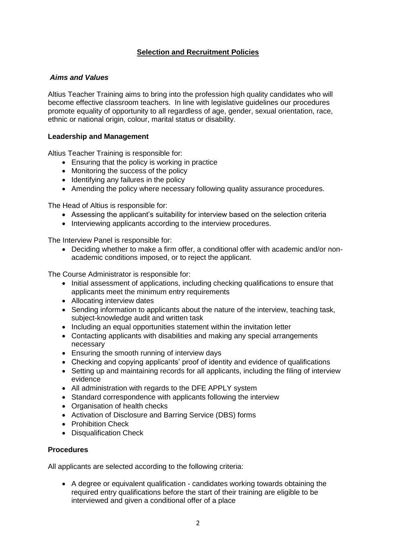# **Selection and Recruitment Policies**

# *Aims and Values*

Altius Teacher Training aims to bring into the profession high quality candidates who will become effective classroom teachers. In line with legislative guidelines our procedures promote equality of opportunity to all regardless of age, gender, sexual orientation, race, ethnic or national origin, colour, marital status or disability.

# **Leadership and Management**

Altius Teacher Training is responsible for:

- Ensuring that the policy is working in practice
- Monitoring the success of the policy
- Identifying any failures in the policy
- Amending the policy where necessary following quality assurance procedures.

The Head of Altius is responsible for:

- Assessing the applicant's suitability for interview based on the selection criteria
- Interviewing applicants according to the interview procedures.

The Interview Panel is responsible for:

• Deciding whether to make a firm offer, a conditional offer with academic and/or nonacademic conditions imposed, or to reject the applicant.

The Course Administrator is responsible for:

- Initial assessment of applications, including checking qualifications to ensure that applicants meet the minimum entry requirements
- Allocating interview dates
- Sending information to applicants about the nature of the interview, teaching task, subject-knowledge audit and written task
- Including an equal opportunities statement within the invitation letter
- Contacting applicants with disabilities and making any special arrangements necessary
- Ensuring the smooth running of interview days
- Checking and copying applicants' proof of identity and evidence of qualifications
- Setting up and maintaining records for all applicants, including the filing of interview evidence
- All administration with regards to the DFE APPLY system
- Standard correspondence with applicants following the interview
- Organisation of health checks
- Activation of Disclosure and Barring Service (DBS) forms
- Prohibition Check
- Disqualification Check

# **Procedures**

All applicants are selected according to the following criteria:

• A degree or equivalent qualification - candidates working towards obtaining the required entry qualifications before the start of their training are eligible to be interviewed and given a conditional offer of a place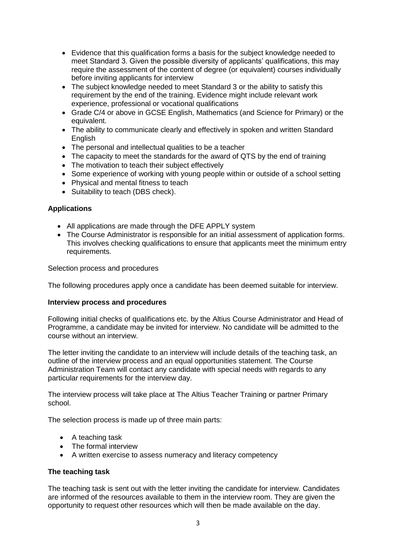- Evidence that this qualification forms a basis for the subject knowledge needed to meet Standard 3. Given the possible diversity of applicants' qualifications, this may require the assessment of the content of degree (or equivalent) courses individually before inviting applicants for interview
- The subject knowledge needed to meet Standard 3 or the ability to satisfy this requirement by the end of the training. Evidence might include relevant work experience, professional or vocational qualifications
- Grade C/4 or above in GCSE English, Mathematics (and Science for Primary) or the equivalent.
- The ability to communicate clearly and effectively in spoken and written Standard **English**
- The personal and intellectual qualities to be a teacher
- The capacity to meet the standards for the award of QTS by the end of training
- The motivation to teach their subject effectively
- Some experience of working with young people within or outside of a school setting
- Physical and mental fitness to teach
- Suitability to teach (DBS check).

# **Applications**

- All applications are made through the DFE APPLY system
- The Course Administrator is responsible for an initial assessment of application forms. This involves checking qualifications to ensure that applicants meet the minimum entry requirements.

Selection process and procedures

The following procedures apply once a candidate has been deemed suitable for interview.

#### **Interview process and procedures**

Following initial checks of qualifications etc. by the Altius Course Administrator and Head of Programme, a candidate may be invited for interview. No candidate will be admitted to the course without an interview.

The letter inviting the candidate to an interview will include details of the teaching task, an outline of the interview process and an equal opportunities statement. The Course Administration Team will contact any candidate with special needs with regards to any particular requirements for the interview day.

The interview process will take place at The Altius Teacher Training or partner Primary school.

The selection process is made up of three main parts:

- A teaching task
- The formal interview
- A written exercise to assess numeracy and literacy competency

# **The teaching task**

The teaching task is sent out with the letter inviting the candidate for interview. Candidates are informed of the resources available to them in the interview room. They are given the opportunity to request other resources which will then be made available on the day.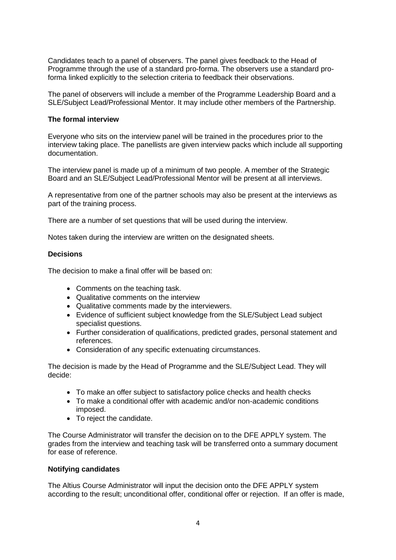Candidates teach to a panel of observers. The panel gives feedback to the Head of Programme through the use of a standard pro-forma. The observers use a standard proforma linked explicitly to the selection criteria to feedback their observations.

The panel of observers will include a member of the Programme Leadership Board and a SLE/Subject Lead/Professional Mentor. It may include other members of the Partnership.

#### **The formal interview**

Everyone who sits on the interview panel will be trained in the procedures prior to the interview taking place. The panellists are given interview packs which include all supporting documentation.

The interview panel is made up of a minimum of two people. A member of the Strategic Board and an SLE/Subject Lead/Professional Mentor will be present at all interviews.

A representative from one of the partner schools may also be present at the interviews as part of the training process.

There are a number of set questions that will be used during the interview.

Notes taken during the interview are written on the designated sheets.

#### **Decisions**

The decision to make a final offer will be based on:

- Comments on the teaching task.
- Qualitative comments on the interview
- Qualitative comments made by the interviewers.
- Evidence of sufficient subject knowledge from the SLE/Subject Lead subject specialist questions.
- Further consideration of qualifications, predicted grades, personal statement and references.
- Consideration of any specific extenuating circumstances.

The decision is made by the Head of Programme and the SLE/Subject Lead. They will decide:

- To make an offer subject to satisfactory police checks and health checks
- To make a conditional offer with academic and/or non-academic conditions imposed.
- To reject the candidate.

The Course Administrator will transfer the decision on to the DFE APPLY system. The grades from the interview and teaching task will be transferred onto a summary document for ease of reference.

#### **Notifying candidates**

The Altius Course Administrator will input the decision onto the DFE APPLY system according to the result; unconditional offer, conditional offer or rejection. If an offer is made,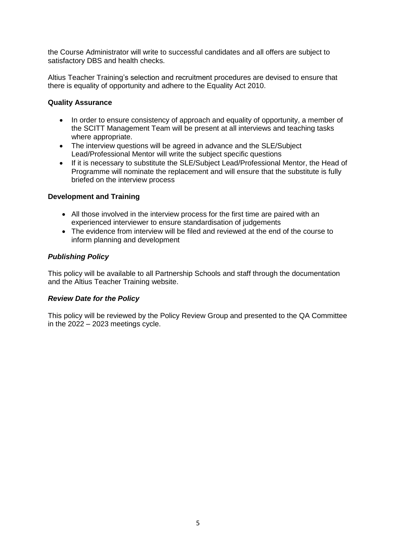the Course Administrator will write to successful candidates and all offers are subject to satisfactory DBS and health checks.

Altius Teacher Training's selection and recruitment procedures are devised to ensure that there is equality of opportunity and adhere to the Equality Act 2010.

# **Quality Assurance**

- In order to ensure consistency of approach and equality of opportunity, a member of the SCITT Management Team will be present at all interviews and teaching tasks where appropriate.
- The interview questions will be agreed in advance and the SLE/Subject Lead/Professional Mentor will write the subject specific questions
- If it is necessary to substitute the SLE/Subject Lead/Professional Mentor, the Head of Programme will nominate the replacement and will ensure that the substitute is fully briefed on the interview process

# **Development and Training**

- All those involved in the interview process for the first time are paired with an experienced interviewer to ensure standardisation of judgements
- The evidence from interview will be filed and reviewed at the end of the course to inform planning and development

# *Publishing Policy*

This policy will be available to all Partnership Schools and staff through the documentation and the Altius Teacher Training website.

# *Review Date for the Policy*

This policy will be reviewed by the Policy Review Group and presented to the QA Committee in the 2022 – 2023 meetings cycle.